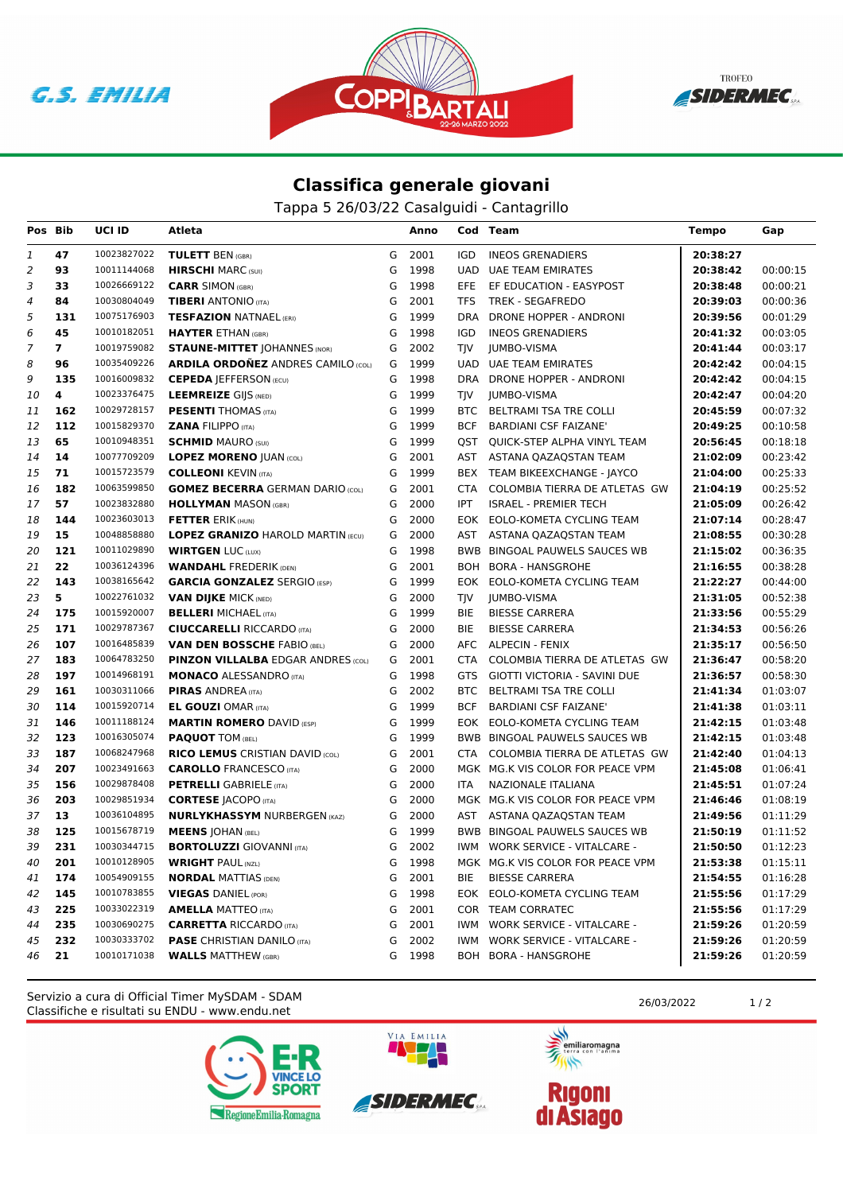





## **Classifica generale giovani**

Tappa 5 26/03/22 Casalguidi - Cantagrillo

| Pos Bib        |                | UCI ID      | Atleta                                    |   | Anno |            | Cod Team                          | <b>Tempo</b> | Gap      |
|----------------|----------------|-------------|-------------------------------------------|---|------|------------|-----------------------------------|--------------|----------|
| 1              | 47             | 10023827022 | <b>TULETT BEN (GBR)</b>                   | G | 2001 | <b>IGD</b> | <b>INEOS GRENADIERS</b>           | 20:38:27     |          |
| $\overline{a}$ | 93             | 10011144068 | <b>HIRSCHI</b> MARC (SUI)                 | G | 1998 | UAD        | UAE TEAM EMIRATES                 | 20:38:42     | 00:00:15 |
| 3              | 33             | 10026669122 | <b>CARR SIMON (GBR)</b>                   | G | 1998 | EFE        | EF EDUCATION - EASYPOST           | 20:38:48     | 00:00:21 |
| 4              | 84             | 10030804049 | <b>TIBERI</b> ANTONIO (ITA)               | G | 2001 | <b>TFS</b> | <b>TREK - SEGAFREDO</b>           | 20:39:03     | 00:00:36 |
| 5              | 131            | 10075176903 | <b>TESFAZION NATNAEL (ERI)</b>            | G | 1999 | <b>DRA</b> | DRONE HOPPER - ANDRONI            | 20:39:56     | 00:01:29 |
| 6              | 45             | 10010182051 | <b>HAYTER ETHAN (GBR)</b>                 | G | 1998 | IGD        | <b>INEOS GRENADIERS</b>           | 20:41:32     | 00:03:05 |
| $\overline{7}$ | $\overline{7}$ | 10019759082 | <b>STAUNE-MITTET JOHANNES (NOR)</b>       | G | 2002 | TIV        | <b>JUMBO-VISMA</b>                | 20:41:44     | 00:03:17 |
| 8              | 96             | 10035409226 | <b>ARDILA ORDONEZ ANDRES CAMILO (COL)</b> | G | 1999 |            | <b>UAD UAE TEAM EMIRATES</b>      | 20:42:42     | 00:04:15 |
| 9              | 135            | 10016009832 | <b>CEPEDA   EFFERSON (ECU)</b>            | G | 1998 |            | DRA DRONE HOPPER - ANDRONI        | 20:42:42     | 00:04:15 |
| 10             | 4              | 10023376475 | <b>LEEMREIZE GIJS (NED)</b>               | G | 1999 | <b>TIV</b> | <b>JUMBO-VISMA</b>                | 20:42:47     | 00:04:20 |
| 11             | 162            | 10029728157 | <b>PESENTI THOMAS (ITA)</b>               | G | 1999 |            | BTC BELTRAMI TSA TRE COLLI        | 20:45:59     | 00:07:32 |
| 12             | 112            | 10015829370 | <b>ZANA FILIPPO (ITA)</b>                 | G | 1999 | <b>BCF</b> | <b>BARDIANI CSF FAIZANE</b>       | 20:49:25     | 00:10:58 |
| 13             | 65             | 10010948351 | <b>SCHMID MAURO (SUI)</b>                 | G | 1999 |            | QST QUICK-STEP ALPHA VINYL TEAM   | 20:56:45     | 00:18:18 |
| 14             | 14             | 10077709209 | <b>LOPEZ MORENO JUAN (COL)</b>            | G | 2001 |            | AST ASTANA QAZAQSTAN TEAM         | 21:02:09     | 00:23:42 |
| 15             | 71             | 10015723579 | <b>COLLEONI KEVIN (ITA)</b>               | G | 1999 |            | BEX TEAM BIKEEXCHANGE - JAYCO     | 21:04:00     | 00:25:33 |
| 16             | 182            | 10063599850 | <b>GOMEZ BECERRA GERMAN DARIO (COL)</b>   | G | 2001 | <b>CTA</b> | COLOMBIA TIERRA DE ATLETAS GW     | 21:04:19     | 00:25:52 |
| 17             | 57             | 10023832880 | <b>HOLLYMAN MASON (GBR)</b>               | G | 2000 | <b>IPT</b> | <b>ISRAEL - PREMIER TECH</b>      | 21:05:09     | 00:26:42 |
| 18             | 144            | 10023603013 | <b>FETTER ERIK (HUN)</b>                  | G | 2000 |            | EOK EOLO-KOMETA CYCLING TEAM      | 21:07:14     | 00:28:47 |
| 19             | 15             | 10048858880 | <b>LOPEZ GRANIZO HAROLD MARTIN (ECU)</b>  | G | 2000 |            | AST ASTANA QAZAQSTAN TEAM         | 21:08:55     | 00:30:28 |
| 20             | 121            | 10011029890 | <b>WIRTGEN LUC (LUX)</b>                  | G | 1998 |            | BWB BINGOAL PAUWELS SAUCES WB     | 21:15:02     | 00:36:35 |
| 21             | 22             | 10036124396 | <b>WANDAHL FREDERIK (DEN)</b>             | G | 2001 |            | BOH BORA - HANSGROHE              | 21:16:55     | 00:38:28 |
| 22             | 143            | 10038165642 | <b>GARCIA GONZALEZ SERGIO (ESP)</b>       | G | 1999 |            | EOK EOLO-KOMETA CYCLING TEAM      | 21:22:27     | 00:44:00 |
| 23             | 5              | 10022761032 | <b>VAN DIJKE MICK (NED)</b>               | G | 2000 | TJV        | <b>JUMBO-VISMA</b>                | 21:31:05     | 00:52:38 |
| 24             | 175            | 10015920007 | <b>BELLERI MICHAEL (ITA)</b>              | G | 1999 | BIE        | <b>BIESSE CARRERA</b>             | 21:33:56     | 00:55:29 |
| 25             | 171            | 10029787367 | <b>CIUCCARELLI RICCARDO (ITA)</b>         | G | 2000 | <b>BIE</b> | <b>BIESSE CARRERA</b>             | 21:34:53     | 00:56:26 |
| 26             | 107            | 10016485839 | <b>VAN DEN BOSSCHE FABIO (BEL)</b>        | G | 2000 |            | AFC ALPECIN - FENIX               | 21:35:17     | 00:56:50 |
| 27             | 183            | 10064783250 | <b>PINZON VILLALBA EDGAR ANDRES (COL)</b> | G | 2001 | CTA        | COLOMBIA TIERRA DE ATLETAS GW     | 21:36:47     | 00:58:20 |
| 28             | 197            | 10014968191 | <b>MONACO ALESSANDRO (ITA)</b>            | G | 1998 | GTS.       | GIOTTI VICTORIA - SAVINI DUE      | 21:36:57     | 00:58:30 |
| 29             | 161            | 10030311066 | <b>PIRAS ANDREA (ITA)</b>                 | G | 2002 | <b>BTC</b> | BELTRAMI TSA TRE COLLI            | 21:41:34     | 01:03:07 |
| 30             | 114            | 10015920714 | <b>EL GOUZI OMAR (ITA)</b>                | G | 1999 | <b>BCF</b> | <b>BARDIANI CSF FAIZANE'</b>      | 21:41:38     | 01:03:11 |
| 31             | 146            | 10011188124 | <b>MARTIN ROMERO DAVID (ESP)</b>          | G | 1999 |            | EOK EOLO-KOMETA CYCLING TEAM      | 21:42:15     | 01:03:48 |
| 32             | 123            | 10016305074 | <b>PAQUOT TOM (BEL)</b>                   | G | 1999 |            | BWB BINGOAL PAUWELS SAUCES WB     | 21:42:15     | 01:03:48 |
| 33             | 187            | 10068247968 | <b>RICO LEMUS CRISTIAN DAVID (COL)</b>    | G | 2001 |            | CTA COLOMBIA TIERRA DE ATLETAS GW | 21:42:40     | 01:04:13 |
| 34             | 207            | 10023491663 | <b>CAROLLO FRANCESCO (ITA)</b>            | G | 2000 |            | MGK MG.K VIS COLOR FOR PEACE VPM  | 21:45:08     | 01:06:41 |
| 35             | 156            | 10029878408 | <b>PETRELLI</b> GABRIELE (ITA)            | G | 2000 | <b>ITA</b> | NAZIONALE ITALIANA                | 21:45:51     | 01:07:24 |
| 36             | 203            | 10029851934 | <b>CORTESE JACOPO (ITA)</b>               | G | 2000 |            | MGK MG.K VIS COLOR FOR PEACE VPM  | 21:46:46     | 01:08:19 |
| 37             | 13             | 10036104895 | <b>NURLYKHASSYM NURBERGEN (KAZ)</b>       | G | 2000 | AST        | ASTANA QAZAQSTAN TEAM             | 21:49:56     | 01:11:29 |
| 38             | 125            | 10015678719 | <b>MEENS JOHAN (BEL)</b>                  | G | 1999 |            | BWB BINGOAL PAUWELS SAUCES WB     | 21:50:19     | 01:11:52 |
| 39             | 231            | 10030344715 | <b>BORTOLUZZI</b> GIOVANNI (ITA)          | G | 2002 |            | IWM WORK SERVICE - VITALCARE -    | 21:50:50     | 01:12:23 |
| 40             | 201            | 10010128905 | <b>WRIGHT PAUL (NZL)</b>                  | G | 1998 |            | MGK MG.K VIS COLOR FOR PEACE VPM  | 21:53:38     | 01:15:11 |
| 41             | 174            | 10054909155 | <b>NORDAL MATTIAS (DEN)</b>               | G | 2001 | BIE        | <b>BIESSE CARRERA</b>             | 21:54:55     | 01:16:28 |
| 42             | 145            | 10010783855 | <b>VIEGAS DANIEL (POR)</b>                | G | 1998 |            | EOK EOLO-KOMETA CYCLING TEAM      | 21:55:56     | 01:17:29 |
| 43             | 225            | 10033022319 | <b>AMELLA MATTEO</b> (ITA)                | G | 2001 |            | COR TEAM CORRATEC                 | 21:55:56     | 01:17:29 |
| 44             | 235            | 10030690275 | <b>CARRETTA RICCARDO (ITA)</b>            | G | 2001 | IWM.       | <b>WORK SERVICE - VITALCARE -</b> | 21:59:26     | 01:20:59 |
| 45             | 232            | 10030333702 | <b>PASE CHRISTIAN DANILO (ITA)</b>        | G | 2002 | <b>IWM</b> | <b>WORK SERVICE - VITALCARE -</b> | 21:59:26     | 01:20:59 |
| 46             | 21             | 10010171038 | <b>WALLS MATTHEW (GBR)</b>                | G | 1998 |            | BOH BORA - HANSGROHE              | 21:59:26     | 01:20:59 |

Classifiche e risultati su ENDU - www.endu.net Servizio a cura di Official Timer MySDAM - SDAM 26/03/2022 1/2





VIA EMILIA

美元 emiliaromagna

 $\rightarrow$ 

**Rigoni<br>di Asiago**